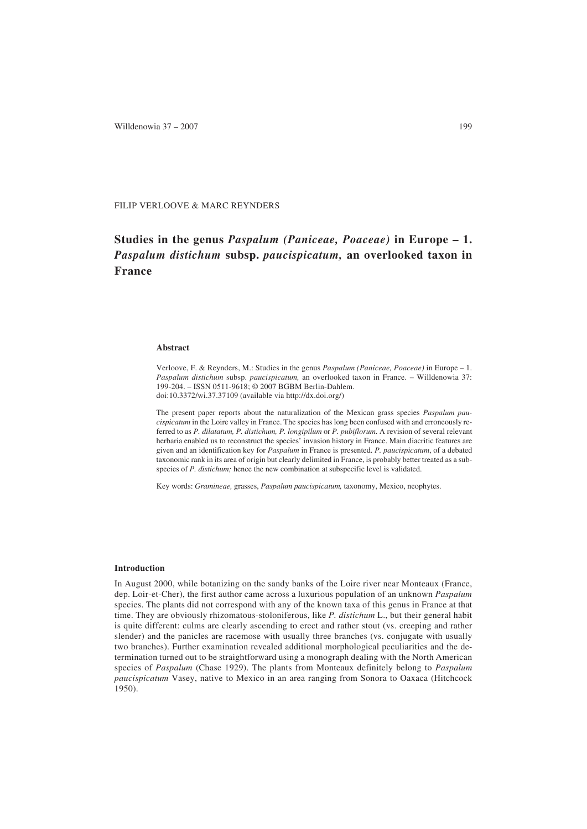Willdenowia  $37 - 2007$  199

FILIP VERLOOVE & MARC REYNDERS

# **Studies in the genus** *Paspalum (Paniceae, Poaceae)* **in Europe – 1.** *Paspalum distichum* **subsp.** *paucispicatum,* **an overlooked taxon in France**

## **Abstract**

Verloove, F. & Reynders, M.: Studies in the genus *Paspalum (Paniceae, Poaceae)* in Europe – 1. *Paspalum distichum* subsp. *paucispicatum,* an overlooked taxon in France. – Willdenowia 37: 199-204. – ISSN 0511-9618; © 2007 BGBM Berlin-Dahlem. doi:10.3372/wi.37.37109 (available via http://dx.doi.org/)

The present paper reports about the naturalization of the Mexican grass species *Paspalum pau-*

*cispicatum* in the Loire valley in France. The species has long been confused with and erroneously referred to as *P. dilatatum, P. distichum, P. longipilum* or *P. pubiflorum*. A revision of several relevant herbaria enabled us to reconstruct the species' invasion history in France. Main diacritic features are given and an identification key for *Paspalum* in France is presented. *P. paucispicatum*, of a debated taxonomic rank in its area of origin but clearly delimited in France, is probably better treated as a subspecies of *P. distichum;* hence the new combination at subspecific level is validated.

Key words: *Gramineae,* grasses, *Paspalum paucispicatum,* taxonomy, Mexico, neophytes.

#### **Introduction**

In August 2000, while botanizing on the sandy banks of the Loire river near Monteaux (France, dep. Loir-et-Cher), the first author came across a luxurious population of an unknown *Paspalum* species. The plants did not correspond with any of the known taxa of this genus in France at that time. They are obviously rhizomatous-stoloniferous, like *P. distichum* L., but their general habit is quite different: culms are clearly ascending to erect and rather stout (vs. creeping and rather slender) and the panicles are racemose with usually three branches (vs. conjugate with usually two branches). Further examination revealed additional morphological peculiarities and the determination turned out to be straightforward using a monograph dealing with the North American species of *Paspalum* (Chase 1929). The plants from Monteaux definitely belong to *Paspalum paucispicatum* Vasey, native to Mexico in an area ranging from Sonora to Oaxaca (Hitchcock 1950).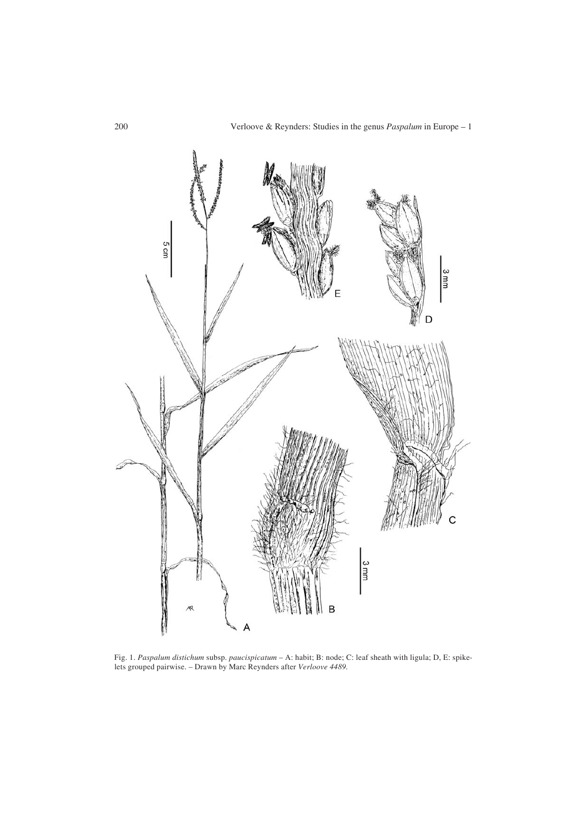

Fig. 1. *Paspalum distichum* subsp. *paucispicatum* – A: habit; B: node; C: leaf sheath with ligula; D, E: spikelets grouped pairwise. – Drawn by Marc Reynders after *Verloove 4489.*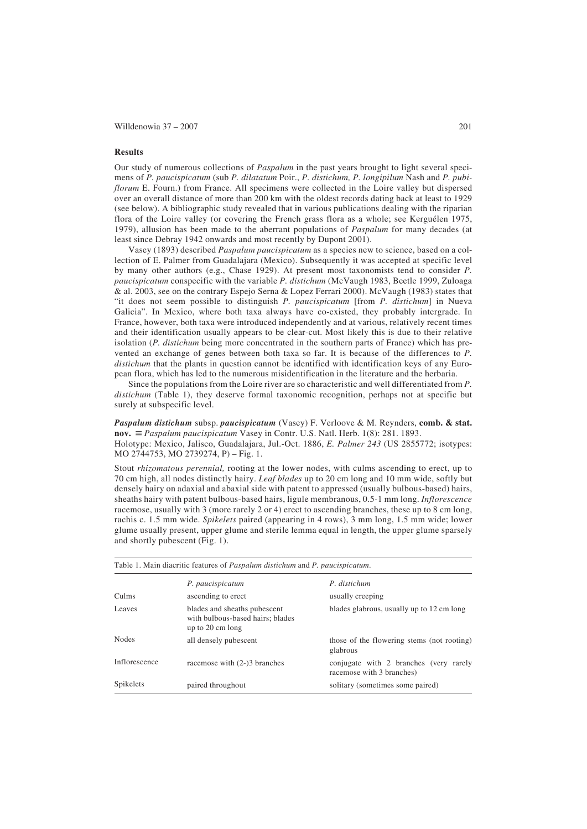Willdenowia 37 – 2007 201

#### **Results**

Our study of numerous collections of *Paspalum* in the past years brought to light several specimens of *P. paucispicatum* (sub *P. dilatatum* Poir., *P. distichum, P. longipilum* Nash and *P. pubiflorum* E. Fourn.) from France. All specimens were collected in the Loire valley but dispersed over an overall distance of more than 200 km with the oldest records dating back at least to 1929 (see below). A bibliographic study revealed that in various publications dealing with the riparian flora of the Loire valley (or covering the French grass flora as a whole; see Kerguélen 1975, 1979), allusion has been made to the aberrant populations of *Paspalum* for many decades (at least since Debray 1942 onwards and most recently by Dupont 2001).

Vasey (1893) described *Paspalum paucispicatum* as a species new to science, based on a collection of E. Palmer from Guadalajara (Mexico). Subsequently it was accepted at specific level by many other authors (e.g., Chase 1929). At present most taxonomists tend to consider *P. paucispicatum* conspecific with the variable *P. distichum* (McVaugh 1983, Beetle 1999, Zuloaga & al. 2003, see on the contrary Espejo Serna & Lopez Ferrari 2000). McVaugh (1983) states that "it does not seem possible to distinguish *P. paucispicatum* [from *P. distichum*] in Nueva Galicia". In Mexico, where both taxa always have co-existed, they probably intergrade. In France, however, both taxa were introduced independently and at various, relatively recent times and their identification usually appears to be clear-cut. Most likely this is due to their relative isolation (*P. distichum* being more concentrated in the southern parts of France) which has prevented an exchange of genes between both taxa so far. It is because of the differences to *P. distichum* that the plants in question cannot be identified with identification keys of any European flora, which has led to the numerous misidentification in the literature and the herbaria.

Since the populations from the Loire river are so characteristic and well differentiated from *P. distichum* (Table 1), they deserve formal taxonomic recognition, perhaps not at specific but surely at subspecific level.

*Paspalum distichum* subsp. *paucispicatum* (Vasey) F. Verloove & M. Reynders, **comb. & stat. nov.** ≡ *Paspalum paucispicatum* Vasey in Contr. U.S. Natl. Herb. 1(8): 281. 1893. Holotype: Mexico, Jalisco, Guadalajara, Jul.-Oct. 1886, *E. Palmer 243* (US 2855772; isotypes: MO 2744753, MO 2739274, P) – Fig. 1.

Stout *rhizomatous perennial,* rooting at the lower nodes, with culms ascending to erect, up to 70 cm high, all nodes distinctly hairy. *Leaf blades* up to 20 cm long and 10 mm wide, softly but densely hairy on adaxial and abaxial side with patent to appressed (usually bulbous-based) hairs, sheaths hairy with patent bulbous-based hairs, ligule membranous, 0.5-1 mm long. *Inflorescence* racemose, usually with 3 (more rarely 2 or 4) erect to ascending branches, these up to 8 cm long, rachis c. 1.5 mm wide. *Spikelets* paired (appearing in 4 rows), 3 mm long, 1.5 mm wide; lower glume usually present, upper glume and sterile lemma equal in length, the upper glume sparsely and shortly pubescent (Fig. 1).

| Table 1. Main diacritic features of <i>Paspalum distichum</i> and <i>P. paucispicatum</i> . |                                                                                                |                                                                     |
|---------------------------------------------------------------------------------------------|------------------------------------------------------------------------------------------------|---------------------------------------------------------------------|
|                                                                                             | P. paucispicatum                                                                               | P. distichum                                                        |
| Culms                                                                                       | ascending to erect                                                                             | usually creeping                                                    |
| Leaves                                                                                      | blades and sheaths pubescent<br>with bulbous-based hairs; blades<br>up to $20 \text{ cm}$ long | blades glabrous, usually up to 12 cm long                           |
| <b>Nodes</b>                                                                                | all densely pubescent                                                                          | those of the flowering stems (not rooting)<br>glabrous              |
| Inflorescence                                                                               | racemose with (2-)3 branches                                                                   | conjugate with 2 branches (very rarely<br>racemose with 3 branches) |
| <b>Spikelets</b>                                                                            | paired throughout                                                                              | solitary (sometimes some paired)                                    |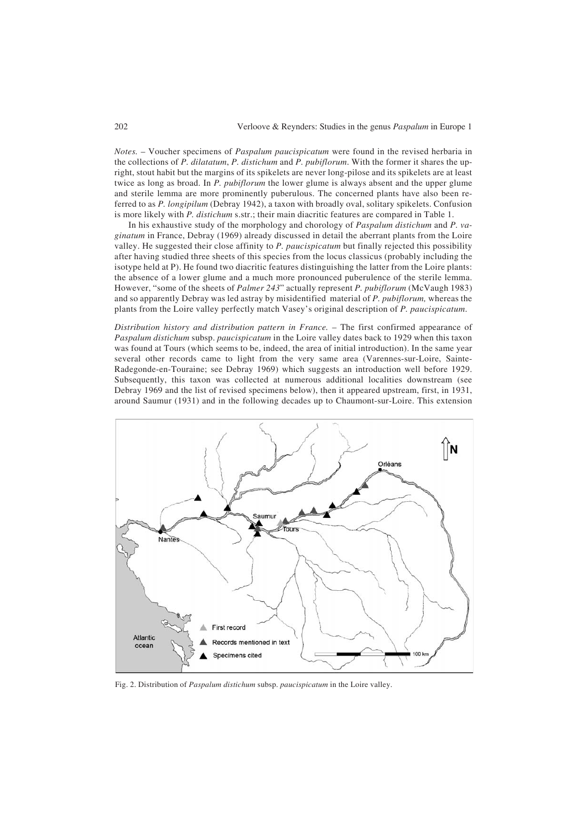*Notes.* – Voucher specimens of *Paspalum paucispicatum* were found in the revised herbaria in the collections of *P. dilatatum*, *P. distichum* and *P. pubiflorum*. With the former it shares the upright, stout habit but the margins of its spikelets are never long-pilose and its spikelets are at least twice as long as broad. In *P. pubiflorum* the lower glume is always absent and the upper glume and sterile lemma are more prominently puberulous. The concerned plants have also been referred to as *P. longipilum* (Debray 1942), a taxon with broadly oval, solitary spikelets. Confusion is more likely with *P. distichum* s.str.; their main diacritic features are compared in Table 1.

In his exhaustive study of the morphology and chorology of *Paspalum distichum* and *P. vaginatum* in France, Debray (1969) already discussed in detail the aberrant plants from the Loire valley. He suggested their close affinity to *P. paucispicatum* but finally rejected this possibility after having studied three sheets of this species from the locus classicus (probably including the isotype held at P). He found two diacritic features distinguishing the latter from the Loire plants: the absence of a lower glume and a much more pronounced puberulence of the sterile lemma. However, "some of the sheets of *Palmer 243*" actually represent *P. pubiflorum* (McVaugh 1983) and so apparently Debray was led astray by misidentified material of *P. pubiflorum,* whereas the plants from the Loire valley perfectly match Vasey's original description of *P. paucispicatum*.

*Distribution history and distribution pattern in France.* – The first confirmed appearance of *Paspalum distichum* subsp. *paucispicatum* in the Loire valley dates back to 1929 when this taxon was found at Tours (which seems to be, indeed, the area of initial introduction). In the same year several other records came to light from the very same area (Varennes-sur-Loire, Sainte-Radegonde-en-Touraine; see Debray 1969) which suggests an introduction well before 1929. Subsequently, this taxon was collected at numerous additional localities downstream (see Debray 1969 and the list of revised specimens below), then it appeared upstream, first, in 1931, around Saumur (1931) and in the following decades up to Chaumont-sur-Loire. This extension



Fig. 2. Distribution of *Paspalum distichum* subsp. *paucispicatum* in the Loire valley.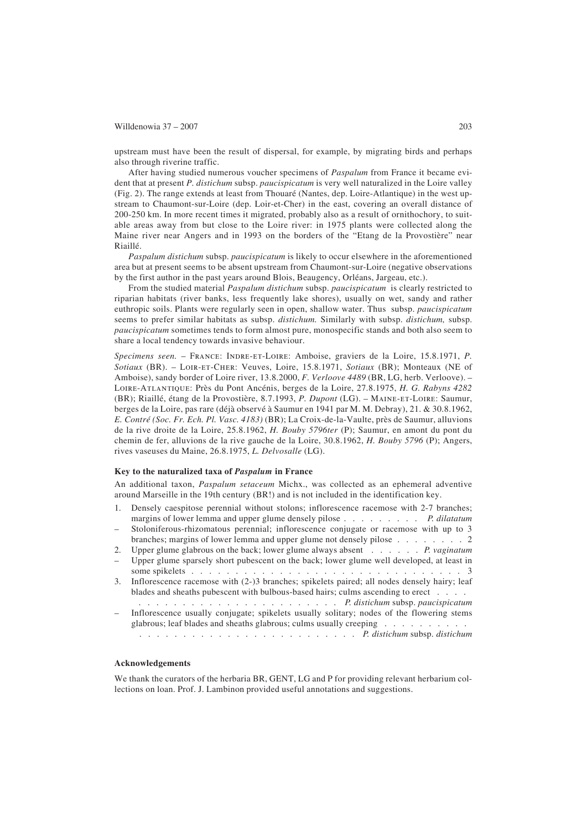# Willdenowia  $37 - 2007$  203

upstream must have been the result of dispersal, for example, by migrating birds and perhaps also through riverine traffic.

After having studied numerous voucher specimens of *Paspalum* from France it became evident that at present *P. distichum* subsp. *paucispicatum* is very well naturalized in the Loire valley (Fig. 2). The range extends at least from Thouaré (Nantes, dep. Loire-Atlantique) in the west upstream to Chaumont-sur-Loire (dep. Loir-et-Cher) in the east, covering an overall distance of 200-250 km. In more recent times it migrated, probably also as a result of ornithochory, to suitable areas away from but close to the Loire river: in 1975 plants were collected along the Maine river near Angers and in 1993 on the borders of the "Etang de la Provostière" near Riaillé.

*Paspalum distichum* subsp. *paucispicatum* is likely to occur elsewhere in the aforementioned area but at present seems to be absent upstream from Chaumont-sur-Loire (negative observations by the first author in the past years around Blois, Beaugency, Orléans, Jargeau, etc.).

From the studied material *Paspalum distichum* subsp. *paucispicatum* is clearly restricted to riparian habitats (river banks, less frequently lake shores), usually on wet, sandy and rather euthropic soils. Plants were regularly seen in open, shallow water. Thus subsp. *paucispicatum* seems to prefer similar habitats as subsp. *distichum.* Similarly with subsp. *distichum,* subsp. *paucispicatum* sometimes tends to form almost pure, monospecific stands and both also seem to share a local tendency towards invasive behaviour.

*Specimens seen.* – France: Indre-et-Loire: Amboise, graviers de la Loire, 15.8.1971, *P. Sotiaux* (BR). – Loir-et-Cher: Veuves, Loire, 15.8.1971, *Sotiaux* (BR); Monteaux (NE of Amboise), sandy border of Loire river, 13.8.2000, *F. Verloove 4489* (BR, LG, herb. Verloove). – Loire-Atlantique: Près du Pont Ancénis, berges de la Loire, 27.8.1975, *H. G. Rabyns 4282* (BR); Riaillé, étang de la Provostière, 8.7.1993, *P. Dupont* (LG). – Maine-et-Loire: Saumur, berges de la Loire, pas rare (déjà observé à Saumur en 1941 par M. M. Debray), 21. & 30.8.1962, *E. Contré (Soc. Fr. Ech. Pl. Vasc. 4183)* (BR); La Croix-de-la-Vaulte, près de Saumur, alluvions de la rive droite de la Loire, 25.8.1962, *H. Bouby 5796ter* (P); Saumur, en amont du pont du chemin de fer, alluvions de la rive gauche de la Loire, 30.8.1962, *H. Bouby 5796* (P); Angers, rives vaseuses du Maine, 26.8.1975, *L. Delvosalle* (LG).

### **Key to the naturalized taxa of** *Paspalum* **in France**

An additional taxon, *Paspalum setaceum* Michx., was collected as an ephemeral adventive around Marseille in the 19th century (BR!) and is not included in the identification key.

- Densely caespitose perennial without stolons; inflorescence racemose with 2-7 branches; margins of lower lemma and upper glume densely pilose ......... *P. dilatatum*
- Stoloniferous-rhizomatous perennial; inflorescence conjugate or racemose with up to 3 branches; margins of lower lemma and upper glume not densely pilose . . . . . . . . 2
- 2. Upper glume glabrous on the back; lower glume always absent . . . . . . *P. vaginatum* – Upper glume sparsely short pubescent on the back; lower glume well developed, at least in
- some spikelets . . . . . . . . . . . . . . . . . . . . . . . . . . . . . . . 3
- 3. Inflorescence racemose with (2-)3 branches; spikelets paired; all nodes densely hairy; leaf blades and sheaths pubescent with bulbous-based hairs; culms ascending to erect . . . . . ....................... *P. distichum* subsp. *paucispicatum*
- Inflorescence usually conjugate; spikelets usually solitary; nodes of the flowering stems glabrous; leaf blades and sheaths glabrous; culms usually creeping . . . . . . . . . . ......................... *P. distichum* subsp. *distichum*

# **Acknowledgements**

We thank the curators of the herbaria BR, GENT, LG and P for providing relevant herbarium collections on loan. Prof. J. Lambinon provided useful annotations and suggestions.